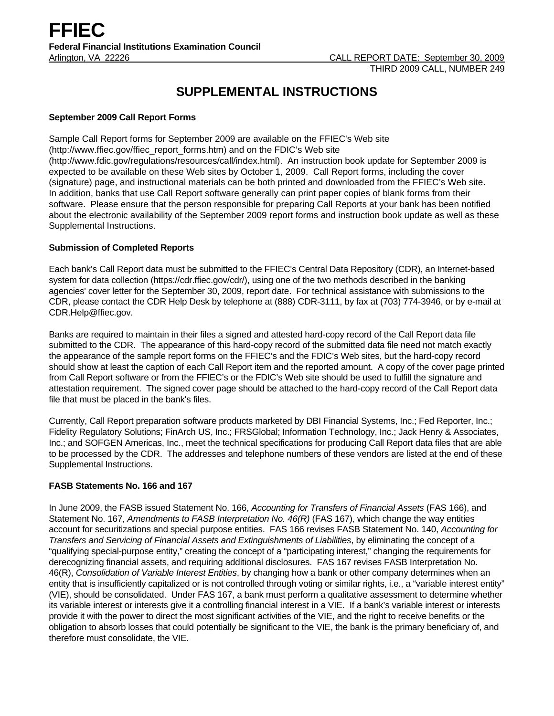# **SUPPLEMENTAL INSTRUCTIONS**

## **September 2009 Call Report Forms**

Sample Call Report forms for September 2009 are available on the FFIEC's Web site (http://www.ffiec.gov/ffiec\_report\_forms.htm) and on the FDIC's Web site (http://www.fdic.gov/regulations/resources/call/index.html). An instruction book update for September 2009 is expected to be available on these Web sites by October 1, 2009. Call Report forms, including the cover (signature) page, and instructional materials can be both printed and downloaded from the FFIEC's Web site. In addition, banks that use Call Report software generally can print paper copies of blank forms from their software. Please ensure that the person responsible for preparing Call Reports at your bank has been notified about the electronic availability of the September 2009 report forms and instruction book update as well as these Supplemental Instructions.

## **Submission of Completed Reports**

Each bank's Call Report data must be submitted to the FFIEC's Central Data Repository (CDR), an Internet-based system for data collection (https://cdr.ffiec.gov/cdr/), using one of the two methods described in the banking agencies' cover letter for the September 30, 2009, report date. For technical assistance with submissions to the CDR, please contact the CDR Help Desk by telephone at (888) CDR-3111, by fax at (703) 774-3946, or by e-mail at CDR.Help@ffiec.gov.

Banks are required to maintain in their files a signed and attested hard-copy record of the Call Report data file submitted to the CDR. The appearance of this hard-copy record of the submitted data file need not match exactly the appearance of the sample report forms on the FFIEC's and the FDIC's Web sites, but the hard-copy record should show at least the caption of each Call Report item and the reported amount. A copy of the cover page printed from Call Report software or from the FFIEC's or the FDIC's Web site should be used to fulfill the signature and attestation requirement. The signed cover page should be attached to the hard-copy record of the Call Report data file that must be placed in the bank's files.

Currently, Call Report preparation software products marketed by DBI Financial Systems, Inc.; Fed Reporter, Inc.; Fidelity Regulatory Solutions; FinArch US, Inc.; FRSGlobal; Information Technology, Inc.; Jack Henry & Associates, Inc.; and SOFGEN Americas, Inc., meet the technical specifications for producing Call Report data files that are able to be processed by the CDR. The addresses and telephone numbers of these vendors are listed at the end of these Supplemental Instructions.

# **FASB Statements No. 166 and 167**

In June 2009, the FASB issued Statement No. 166, *Accounting for Transfers of Financial Assets* (FAS 166), and Statement No. 167, *Amendments to FASB Interpretation No. 46(R)* (FAS 167)*,* which change the way entities account for securitizations and special purpose entities. FAS 166 revises FASB Statement No. 140, *Accounting for Transfers and Servicing of Financial Assets and Extinguishments of Liabilities*, by eliminating the concept of a "qualifying special-purpose entity," creating the concept of a "participating interest," changing the requirements for derecognizing financial assets, and requiring additional disclosures. FAS 167 revises FASB Interpretation No. 46(R), *Consolidation of Variable Interest Entities*, by changing how a bank or other company determines when an entity that is insufficiently capitalized or is not controlled through voting or similar rights, i.e., a "variable interest entity" (VIE), should be consolidated. Under FAS 167, a bank must perform a qualitative assessment to determine whether its variable interest or interests give it a controlling financial interest in a VIE. If a bank's variable interest or interests provide it with the power to direct the most significant activities of the VIE, and the right to receive benefits or the obligation to absorb losses that could potentially be significant to the VIE, the bank is the primary beneficiary of, and therefore must consolidate, the VIE.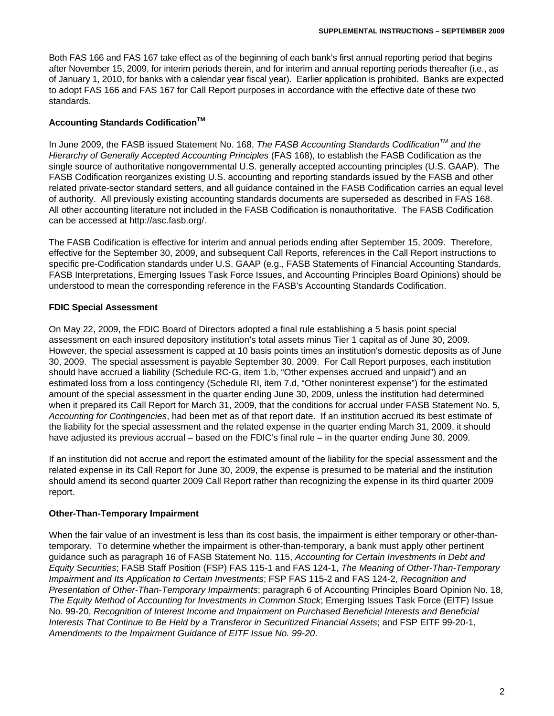Both FAS 166 and FAS 167 take effect as of the beginning of each bank's first annual reporting period that begins after November 15, 2009, for interim periods therein, and for interim and annual reporting periods thereafter (i.e., as of January 1, 2010, for banks with a calendar year fiscal year). Earlier application is prohibited. Banks are expected to adopt FAS 166 and FAS 167 for Call Report purposes in accordance with the effective date of these two standards.

## **Accounting Standards Codification<sup>™</sup>**

In June 2009, the FASB issued Statement No. 168, *The FASB Accounting Standards CodificationTM and the Hierarchy of Generally Accepted Accounting Principles* (FAS 168), to establish the FASB Codification as the single source of authoritative nongovernmental U.S. generally accepted accounting principles (U.S. GAAP). The FASB Codification reorganizes existing U.S. accounting and reporting standards issued by the FASB and other related private-sector standard setters, and all guidance contained in the FASB Codification carries an equal level of authority. All previously existing accounting standards documents are superseded as described in FAS 168. All other accounting literature not included in the FASB Codification is nonauthoritative. The FASB Codification can be accessed at http://asc.fasb.org/.

The FASB Codification is effective for interim and annual periods ending after September 15, 2009. Therefore, effective for the September 30, 2009, and subsequent Call Reports, references in the Call Report instructions to specific pre-Codification standards under U.S. GAAP (e.g., FASB Statements of Financial Accounting Standards, FASB Interpretations, Emerging Issues Task Force Issues, and Accounting Principles Board Opinions) should be understood to mean the corresponding reference in the FASB's Accounting Standards Codification.

## **FDIC Special Assessment**

On May 22, 2009, the FDIC Board of Directors adopted a final rule establishing a 5 basis point special assessment on each insured depository institution's total assets minus Tier 1 capital as of June 30, 2009. However, the special assessment is capped at 10 basis points times an institution's domestic deposits as of June 30, 2009. The special assessment is payable September 30, 2009. For Call Report purposes, each institution should have accrued a liability (Schedule RC-G, item 1.b, "Other expenses accrued and unpaid") and an estimated loss from a loss contingency (Schedule RI, item 7.d, "Other noninterest expense") for the estimated amount of the special assessment in the quarter ending June 30, 2009, unless the institution had determined when it prepared its Call Report for March 31, 2009, that the conditions for accrual under FASB Statement No. 5, *Accounting for Contingencies*, had been met as of that report date. If an institution accrued its best estimate of the liability for the special assessment and the related expense in the quarter ending March 31, 2009, it should have adjusted its previous accrual – based on the FDIC's final rule – in the quarter ending June 30, 2009.

If an institution did not accrue and report the estimated amount of the liability for the special assessment and the related expense in its Call Report for June 30, 2009, the expense is presumed to be material and the institution should amend its second quarter 2009 Call Report rather than recognizing the expense in its third quarter 2009 report.

#### **Other-Than-Temporary Impairment**

When the fair value of an investment is less than its cost basis, the impairment is either temporary or other-thantemporary. To determine whether the impairment is other-than-temporary, a bank must apply other pertinent guidance such as paragraph 16 of FASB Statement No. 115, *Accounting for Certain Investments in Debt and Equity Securities*; FASB Staff Position (FSP) FAS 115-1 and FAS 124-1, *The Meaning of Other-Than-Temporary Impairment and Its Application to Certain Investments*; FSP FAS 115-2 and FAS 124-2, *Recognition and Presentation of Other-Than-Temporary Impairments*; paragraph 6 of Accounting Principles Board Opinion No. 18, *The Equity Method of Accounting for Investments in Common Stock*; Emerging Issues Task Force (EITF) Issue No. 99-20, *Recognition of Interest Income and Impairment on Purchased Beneficial Interests and Beneficial Interests That Continue to Be Held by a Transferor in Securitized Financial Assets*; and FSP EITF 99-20-1, *Amendments to the Impairment Guidance of EITF Issue No. 99-20*.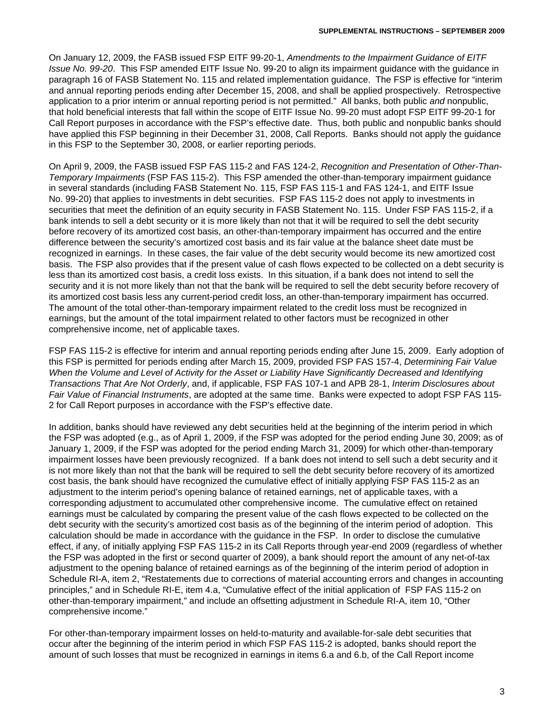On January 12, 2009, the FASB issued FSP EITF 99-20-1, *Amendments to the Impairment Guidance of EITF Issue No. 99-20*. This FSP amended EITF Issue No. 99-20 to align its impairment guidance with the guidance in paragraph 16 of FASB Statement No. 115 and related implementation guidance. The FSP is effective for "interim and annual reporting periods ending after December 15, 2008, and shall be applied prospectively. Retrospective application to a prior interim or annual reporting period is not permitted." All banks, both public *and* nonpublic, that hold beneficial interests that fall within the scope of EITF Issue No. 99-20 must adopt FSP EITF 99-20-1 for Call Report purposes in accordance with the FSP's effective date. Thus, both public and nonpublic banks should have applied this FSP beginning in their December 31, 2008, Call Reports. Banks should not apply the guidance in this FSP to the September 30, 2008, or earlier reporting periods.

On April 9, 2009, the FASB issued FSP FAS 115-2 and FAS 124-2, *Recognition and Presentation of Other-Than-Temporary Impairments* (FSP FAS 115-2). This FSP amended the other-than-temporary impairment guidance in several standards (including FASB Statement No. 115, FSP FAS 115-1 and FAS 124-1, and EITF Issue No. 99-20) that applies to investments in debt securities. FSP FAS 115-2 does not apply to investments in securities that meet the definition of an equity security in FASB Statement No. 115. Under FSP FAS 115-2, if a bank intends to sell a debt security or it is more likely than not that it will be required to sell the debt security before recovery of its amortized cost basis, an other-than-temporary impairment has occurred and the entire difference between the security's amortized cost basis and its fair value at the balance sheet date must be recognized in earnings. In these cases, the fair value of the debt security would become its new amortized cost basis. The FSP also provides that if the present value of cash flows expected to be collected on a debt security is less than its amortized cost basis, a credit loss exists. In this situation, if a bank does not intend to sell the security and it is not more likely than not that the bank will be required to sell the debt security before recovery of its amortized cost basis less any current-period credit loss, an other-than-temporary impairment has occurred. The amount of the total other-than-temporary impairment related to the credit loss must be recognized in earnings, but the amount of the total impairment related to other factors must be recognized in other comprehensive income, net of applicable taxes.

FSP FAS 115-2 is effective for interim and annual reporting periods ending after June 15, 2009. Early adoption of this FSP is permitted for periods ending after March 15, 2009, provided FSP FAS 157-4, *Determining Fair Value When the Volume and Level of Activity for the Asset or Liability Have Significantly Decreased and Identifying Transactions That Are Not Orderly*, and, if applicable, FSP FAS 107-1 and APB 28-1, *Interim Disclosures about Fair Value of Financial Instruments*, are adopted at the same time. Banks were expected to adopt FSP FAS 115- 2 for Call Report purposes in accordance with the FSP's effective date.

In addition, banks should have reviewed any debt securities held at the beginning of the interim period in which the FSP was adopted (e.g., as of April 1, 2009, if the FSP was adopted for the period ending June 30, 2009; as of January 1, 2009, if the FSP was adopted for the period ending March 31, 2009) for which other-than-temporary impairment losses have been previously recognized. If a bank does not intend to sell such a debt security and it is not more likely than not that the bank will be required to sell the debt security before recovery of its amortized cost basis, the bank should have recognized the cumulative effect of initially applying FSP FAS 115-2 as an adjustment to the interim period's opening balance of retained earnings, net of applicable taxes, with a corresponding adjustment to accumulated other comprehensive income. The cumulative effect on retained earnings must be calculated by comparing the present value of the cash flows expected to be collected on the debt security with the security's amortized cost basis as of the beginning of the interim period of adoption. This calculation should be made in accordance with the guidance in the FSP. In order to disclose the cumulative effect, if any, of initially applying FSP FAS 115-2 in its Call Reports through year-end 2009 (regardless of whether the FSP was adopted in the first or second quarter of 2009), a bank should report the amount of any net-of-tax adjustment to the opening balance of retained earnings as of the beginning of the interim period of adoption in Schedule RI-A, item 2, "Restatements due to corrections of material accounting errors and changes in accounting principles," and in Schedule RI-E, item 4.a, "Cumulative effect of the initial application of FSP FAS 115-2 on other-than-temporary impairment," and include an offsetting adjustment in Schedule RI-A, item 10, "Other comprehensive income."

For other-than-temporary impairment losses on held-to-maturity and available-for-sale debt securities that occur after the beginning of the interim period in which FSP FAS 115-2 is adopted, banks should report the amount of such losses that must be recognized in earnings in items 6.a and 6.b, of the Call Report income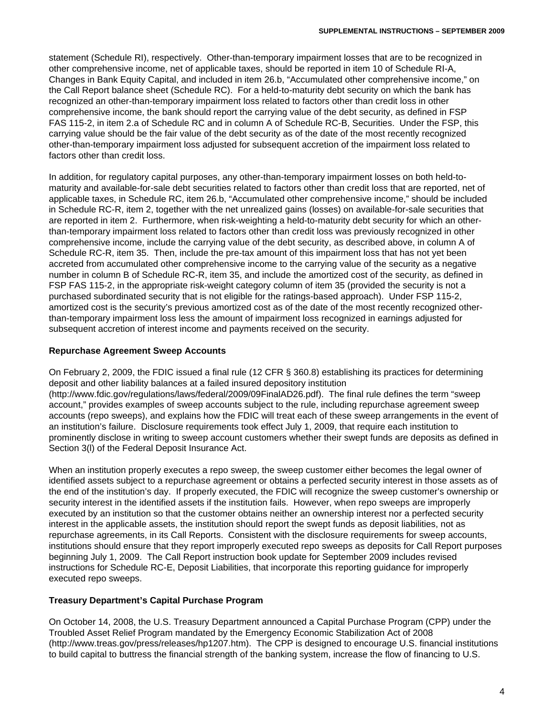statement (Schedule RI), respectively. Other-than-temporary impairment losses that are to be recognized in other comprehensive income, net of applicable taxes, should be reported in item 10 of Schedule RI-A, Changes in Bank Equity Capital, and included in item 26.b, "Accumulated other comprehensive income," on the Call Report balance sheet (Schedule RC). For a held-to-maturity debt security on which the bank has recognized an other-than-temporary impairment loss related to factors other than credit loss in other comprehensive income, the bank should report the carrying value of the debt security, as defined in FSP FAS 115-2, in item 2.a of Schedule RC and in column A of Schedule RC-B, Securities. Under the FSP, this carrying value should be the fair value of the debt security as of the date of the most recently recognized other-than-temporary impairment loss adjusted for subsequent accretion of the impairment loss related to factors other than credit loss.

In addition, for regulatory capital purposes, any other-than-temporary impairment losses on both held-tomaturity and available-for-sale debt securities related to factors other than credit loss that are reported, net of applicable taxes, in Schedule RC, item 26.b, "Accumulated other comprehensive income," should be included in Schedule RC-R, item 2, together with the net unrealized gains (losses) on available-for-sale securities that are reported in item 2. Furthermore, when risk-weighting a held-to-maturity debt security for which an otherthan-temporary impairment loss related to factors other than credit loss was previously recognized in other comprehensive income, include the carrying value of the debt security, as described above, in column A of Schedule RC-R, item 35. Then, include the pre-tax amount of this impairment loss that has not yet been accreted from accumulated other comprehensive income to the carrying value of the security as a negative number in column B of Schedule RC-R, item 35, and include the amortized cost of the security, as defined in FSP FAS 115-2, in the appropriate risk-weight category column of item 35 (provided the security is not a purchased subordinated security that is not eligible for the ratings-based approach). Under FSP 115-2, amortized cost is the security's previous amortized cost as of the date of the most recently recognized otherthan-temporary impairment loss less the amount of impairment loss recognized in earnings adjusted for subsequent accretion of interest income and payments received on the security.

#### **Repurchase Agreement Sweep Accounts**

On February 2, 2009, the FDIC issued a final rule (12 CFR § 360.8) establishing its practices for determining deposit and other liability balances at a failed insured depository institution (http://www.fdic.gov/regulations/laws/federal/2009/09FinalAD26.pdf). The final rule defines the term "sweep account," provides examples of sweep accounts subject to the rule, including repurchase agreement sweep accounts (repo sweeps), and explains how the FDIC will treat each of these sweep arrangements in the event of an institution's failure. Disclosure requirements took effect July 1, 2009, that require each institution to prominently disclose in writing to sweep account customers whether their swept funds are deposits as defined in Section 3(l) of the Federal Deposit Insurance Act.

When an institution properly executes a repo sweep, the sweep customer either becomes the legal owner of identified assets subject to a repurchase agreement or obtains a perfected security interest in those assets as of the end of the institution's day. If properly executed, the FDIC will recognize the sweep customer's ownership or security interest in the identified assets if the institution fails. However, when repo sweeps are improperly executed by an institution so that the customer obtains neither an ownership interest nor a perfected security interest in the applicable assets, the institution should report the swept funds as deposit liabilities, not as repurchase agreements, in its Call Reports. Consistent with the disclosure requirements for sweep accounts, institutions should ensure that they report improperly executed repo sweeps as deposits for Call Report purposes beginning July 1, 2009. The Call Report instruction book update for September 2009 includes revised instructions for Schedule RC-E, Deposit Liabilities, that incorporate this reporting guidance for improperly executed repo sweeps.

#### **Treasury Department's Capital Purchase Program**

On October 14, 2008, the U.S. Treasury Department announced a Capital Purchase Program (CPP) under the Troubled Asset Relief Program mandated by the Emergency Economic Stabilization Act of 2008 (http://www.treas.gov/press/releases/hp1207.htm). The CPP is designed to encourage U.S. financial institutions to build capital to buttress the financial strength of the banking system, increase the flow of financing to U.S.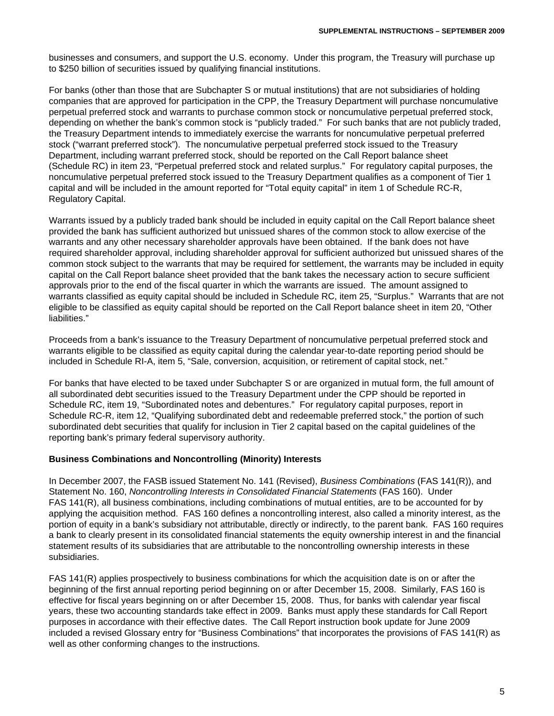businesses and consumers, and support the U.S. economy. Under this program, the Treasury will purchase up to \$250 billion of securities issued by qualifying financial institutions.

For banks (other than those that are Subchapter S or mutual institutions) that are not subsidiaries of holding companies that are approved for participation in the CPP, the Treasury Department will purchase noncumulative perpetual preferred stock and warrants to purchase common stock or noncumulative perpetual preferred stock, depending on whether the bank's common stock is "publicly traded." For such banks that are not publicly traded, the Treasury Department intends to immediately exercise the warrants for noncumulative perpetual preferred stock ("warrant preferred stock"). The noncumulative perpetual preferred stock issued to the Treasury Department, including warrant preferred stock, should be reported on the Call Report balance sheet (Schedule RC) in item 23, "Perpetual preferred stock and related surplus." For regulatory capital purposes, the noncumulative perpetual preferred stock issued to the Treasury Department qualifies as a component of Tier 1 capital and will be included in the amount reported for "Total equity capital" in item 1 of Schedule RC-R, Regulatory Capital.

Warrants issued by a publicly traded bank should be included in equity capital on the Call Report balance sheet provided the bank has sufficient authorized but unissued shares of the common stock to allow exercise of the warrants and any other necessary shareholder approvals have been obtained. If the bank does not have required shareholder approval, including shareholder approval for sufficient authorized but unissued shares of the common stock subject to the warrants that may be required for settlement, the warrants may be included in equity capital on the Call Report balance sheet provided that the bank takes the necessary action to secure sufficient approvals prior to the end of the fiscal quarter in which the warrants are issued. The amount assigned to warrants classified as equity capital should be included in Schedule RC, item 25, "Surplus." Warrants that are not eligible to be classified as equity capital should be reported on the Call Report balance sheet in item 20, "Other liabilities."

Proceeds from a bank's issuance to the Treasury Department of noncumulative perpetual preferred stock and warrants eligible to be classified as equity capital during the calendar year-to-date reporting period should be included in Schedule RI-A, item 5, "Sale, conversion, acquisition, or retirement of capital stock, net."

For banks that have elected to be taxed under Subchapter S or are organized in mutual form, the full amount of all subordinated debt securities issued to the Treasury Department under the CPP should be reported in Schedule RC, item 19, "Subordinated notes and debentures." For regulatory capital purposes, report in Schedule RC-R, item 12, "Qualifying subordinated debt and redeemable preferred stock," the portion of such subordinated debt securities that qualify for inclusion in Tier 2 capital based on the capital guidelines of the reporting bank's primary federal supervisory authority.

#### **Business Combinations and Noncontrolling (Minority) Interests**

In December 2007, the FASB issued Statement No. 141 (Revised), *Business Combinations* (FAS 141(R)), and Statement No. 160, *Noncontrolling Interests in Consolidated Financial Statements* (FAS 160). Under FAS 141(R), all business combinations, including combinations of mutual entities, are to be accounted for by applying the acquisition method. FAS 160 defines a noncontrolling interest, also called a minority interest, as the portion of equity in a bank's subsidiary not attributable, directly or indirectly, to the parent bank. FAS 160 requires a bank to clearly present in its consolidated financial statements the equity ownership interest in and the financial statement results of its subsidiaries that are attributable to the noncontrolling ownership interests in these subsidiaries.

FAS 141(R) applies prospectively to business combinations for which the acquisition date is on or after the beginning of the first annual reporting period beginning on or after December 15, 2008. Similarly, FAS 160 is effective for fiscal years beginning on or after December 15, 2008. Thus, for banks with calendar year fiscal years, these two accounting standards take effect in 2009. Banks must apply these standards for Call Report purposes in accordance with their effective dates. The Call Report instruction book update for June 2009 included a revised Glossary entry for "Business Combinations" that incorporates the provisions of FAS 141(R) as well as other conforming changes to the instructions.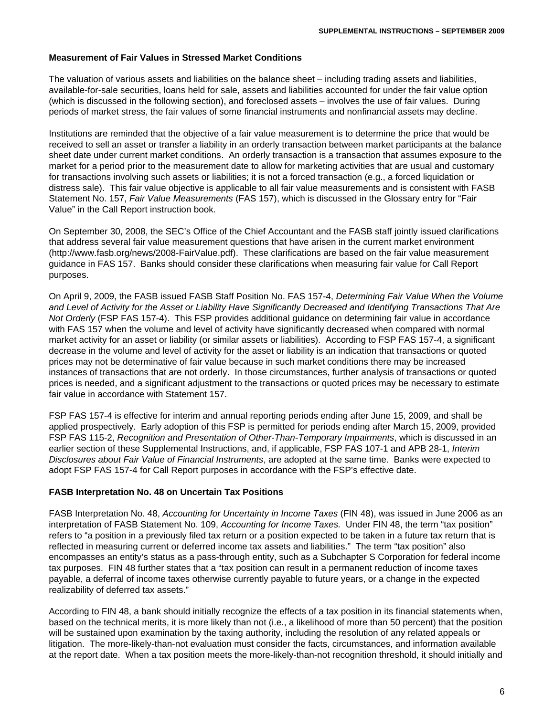#### **Measurement of Fair Values in Stressed Market Conditions**

The valuation of various assets and liabilities on the balance sheet – including trading assets and liabilities, available-for-sale securities, loans held for sale, assets and liabilities accounted for under the fair value option (which is discussed in the following section), and foreclosed assets – involves the use of fair values. During periods of market stress, the fair values of some financial instruments and nonfinancial assets may decline.

Institutions are reminded that the objective of a fair value measurement is to determine the price that would be received to sell an asset or transfer a liability in an orderly transaction between market participants at the balance sheet date under current market conditions. An orderly transaction is a transaction that assumes exposure to the market for a period prior to the measurement date to allow for marketing activities that are usual and customary for transactions involving such assets or liabilities; it is not a forced transaction (e.g., a forced liquidation or distress sale). This fair value objective is applicable to all fair value measurements and is consistent with FASB Statement No. 157, *Fair Value Measurements* (FAS 157), which is discussed in the Glossary entry for "Fair Value" in the Call Report instruction book.

On September 30, 2008, the SEC's Office of the Chief Accountant and the FASB staff jointly issued clarifications that address several fair value measurement questions that have arisen in the current market environment (http://www.fasb.org/news/2008-FairValue.pdf). These clarifications are based on the fair value measurement guidance in FAS 157. Banks should consider these clarifications when measuring fair value for Call Report purposes.

On April 9, 2009, the FASB issued FASB Staff Position No. FAS 157-4, *Determining Fair Value When the Volume and Level of Activity for the Asset or Liability Have Significantly Decreased and Identifying Transactions That Are Not Orderly* (FSP FAS 157-4). This FSP provides additional guidance on determining fair value in accordance with FAS 157 when the volume and level of activity have significantly decreased when compared with normal market activity for an asset or liability (or similar assets or liabilities). According to FSP FAS 157-4, a significant decrease in the volume and level of activity for the asset or liability is an indication that transactions or quoted prices may not be determinative of fair value because in such market conditions there may be increased instances of transactions that are not orderly. In those circumstances, further analysis of transactions or quoted prices is needed, and a significant adjustment to the transactions or quoted prices may be necessary to estimate fair value in accordance with Statement 157.

FSP FAS 157-4 is effective for interim and annual reporting periods ending after June 15, 2009, and shall be applied prospectively. Early adoption of this FSP is permitted for periods ending after March 15, 2009, provided FSP FAS 115-2, *Recognition and Presentation of Other-Than-Temporary Impairments*, which is discussed in an earlier section of these Supplemental Instructions, and, if applicable, FSP FAS 107-1 and APB 28-1, *Interim Disclosures about Fair Value of Financial Instruments*, are adopted at the same time. Banks were expected to adopt FSP FAS 157-4 for Call Report purposes in accordance with the FSP's effective date.

#### **FASB Interpretation No. 48 on Uncertain Tax Positions**

FASB Interpretation No. 48, *Accounting for Uncertainty in Income Taxes* (FIN 48), was issued in June 2006 as an interpretation of FASB Statement No. 109, *Accounting for Income Taxes.* Under FIN 48, the term "tax position" refers to "a position in a previously filed tax return or a position expected to be taken in a future tax return that is reflected in measuring current or deferred income tax assets and liabilities." The term "tax position" also encompasses an entity's status as a pass-through entity, such as a Subchapter S Corporation for federal income tax purposes. FIN 48 further states that a "tax position can result in a permanent reduction of income taxes payable, a deferral of income taxes otherwise currently payable to future years, or a change in the expected realizability of deferred tax assets."

According to FIN 48, a bank should initially recognize the effects of a tax position in its financial statements when, based on the technical merits, it is more likely than not (i.e., a likelihood of more than 50 percent) that the position will be sustained upon examination by the taxing authority, including the resolution of any related appeals or litigation. The more-likely-than-not evaluation must consider the facts, circumstances, and information available at the report date. When a tax position meets the more-likely-than-not recognition threshold, it should initially and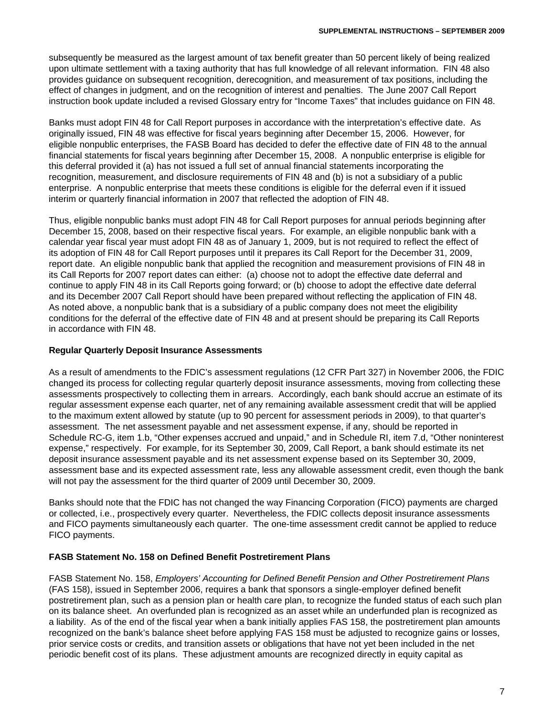subsequently be measured as the largest amount of tax benefit greater than 50 percent likely of being realized upon ultimate settlement with a taxing authority that has full knowledge of all relevant information. FIN 48 also provides guidance on subsequent recognition, derecognition, and measurement of tax positions, including the effect of changes in judgment, and on the recognition of interest and penalties. The June 2007 Call Report instruction book update included a revised Glossary entry for "Income Taxes" that includes guidance on FIN 48.

Banks must adopt FIN 48 for Call Report purposes in accordance with the interpretation's effective date. As originally issued, FIN 48 was effective for fiscal years beginning after December 15, 2006. However, for eligible nonpublic enterprises, the FASB Board has decided to defer the effective date of FIN 48 to the annual financial statements for fiscal years beginning after December 15, 2008. A nonpublic enterprise is eligible for this deferral provided it (a) has not issued a full set of annual financial statements incorporating the recognition, measurement, and disclosure requirements of FIN 48 and (b) is not a subsidiary of a public enterprise. A nonpublic enterprise that meets these conditions is eligible for the deferral even if it issued interim or quarterly financial information in 2007 that reflected the adoption of FIN 48.

Thus, eligible nonpublic banks must adopt FIN 48 for Call Report purposes for annual periods beginning after December 15, 2008, based on their respective fiscal years. For example, an eligible nonpublic bank with a calendar year fiscal year must adopt FIN 48 as of January 1, 2009, but is not required to reflect the effect of its adoption of FIN 48 for Call Report purposes until it prepares its Call Report for the December 31, 2009, report date. An eligible nonpublic bank that applied the recognition and measurement provisions of FIN 48 in its Call Reports for 2007 report dates can either: (a) choose not to adopt the effective date deferral and continue to apply FIN 48 in its Call Reports going forward; or (b) choose to adopt the effective date deferral and its December 2007 Call Report should have been prepared without reflecting the application of FIN 48. As noted above, a nonpublic bank that is a subsidiary of a public company does not meet the eligibility conditions for the deferral of the effective date of FIN 48 and at present should be preparing its Call Reports in accordance with FIN 48.

#### **Regular Quarterly Deposit Insurance Assessments**

As a result of amendments to the FDIC's assessment regulations (12 CFR Part 327) in November 2006, the FDIC changed its process for collecting regular quarterly deposit insurance assessments, moving from collecting these assessments prospectively to collecting them in arrears. Accordingly, each bank should accrue an estimate of its regular assessment expense each quarter, net of any remaining available assessment credit that will be applied to the maximum extent allowed by statute (up to 90 percent for assessment periods in 2009), to that quarter's assessment. The net assessment payable and net assessment expense, if any, should be reported in Schedule RC-G, item 1.b, "Other expenses accrued and unpaid," and in Schedule RI, item 7.d, "Other noninterest expense," respectively. For example, for its September 30, 2009, Call Report, a bank should estimate its net deposit insurance assessment payable and its net assessment expense based on its September 30, 2009, assessment base and its expected assessment rate, less any allowable assessment credit, even though the bank will not pay the assessment for the third quarter of 2009 until December 30, 2009.

Banks should note that the FDIC has not changed the way Financing Corporation (FICO) payments are charged or collected, i.e., prospectively every quarter. Nevertheless, the FDIC collects deposit insurance assessments and FICO payments simultaneously each quarter. The one-time assessment credit cannot be applied to reduce FICO payments.

## **FASB Statement No. 158 on Defined Benefit Postretirement Plans**

FASB Statement No. 158, *Employers' Accounting for Defined Benefit Pension and Other Postretirement Plans* (FAS 158), issued in September 2006, requires a bank that sponsors a single-employer defined benefit postretirement plan, such as a pension plan or health care plan, to recognize the funded status of each such plan on its balance sheet. An overfunded plan is recognized as an asset while an underfunded plan is recognized as a liability. As of the end of the fiscal year when a bank initially applies FAS 158, the postretirement plan amounts recognized on the bank's balance sheet before applying FAS 158 must be adjusted to recognize gains or losses, prior service costs or credits, and transition assets or obligations that have not yet been included in the net periodic benefit cost of its plans. These adjustment amounts are recognized directly in equity capital as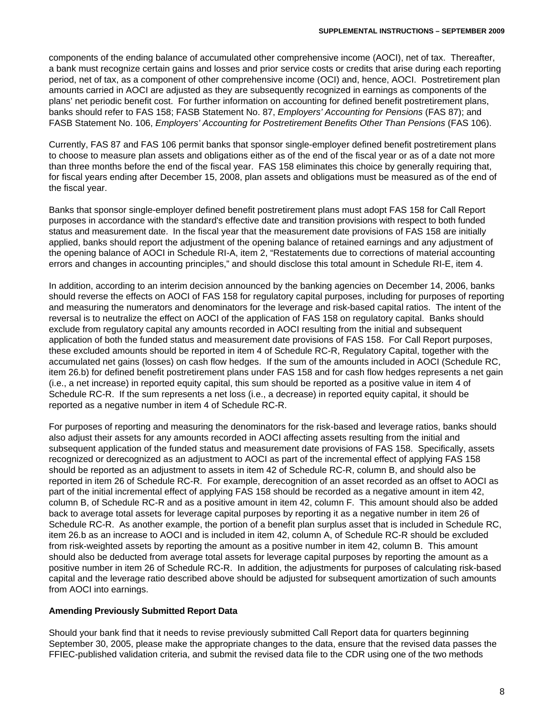components of the ending balance of accumulated other comprehensive income (AOCI), net of tax. Thereafter, a bank must recognize certain gains and losses and prior service costs or credits that arise during each reporting period, net of tax, as a component of other comprehensive income (OCI) and, hence, AOCI. Postretirement plan amounts carried in AOCI are adjusted as they are subsequently recognized in earnings as components of the plans' net periodic benefit cost. For further information on accounting for defined benefit postretirement plans, banks should refer to FAS 158; FASB Statement No. 87, *Employers' Accounting for Pensions* (FAS 87); and FASB Statement No. 106, *Employers' Accounting for Postretirement Benefits Other Than Pensions* (FAS 106).

Currently, FAS 87 and FAS 106 permit banks that sponsor single-employer defined benefit postretirement plans to choose to measure plan assets and obligations either as of the end of the fiscal year or as of a date not more than three months before the end of the fiscal year. FAS 158 eliminates this choice by generally requiring that, for fiscal years ending after December 15, 2008, plan assets and obligations must be measured as of the end of the fiscal year.

Banks that sponsor single-employer defined benefit postretirement plans must adopt FAS 158 for Call Report purposes in accordance with the standard's effective date and transition provisions with respect to both funded status and measurement date. In the fiscal year that the measurement date provisions of FAS 158 are initially applied, banks should report the adjustment of the opening balance of retained earnings and any adjustment of the opening balance of AOCI in Schedule RI-A, item 2, "Restatements due to corrections of material accounting errors and changes in accounting principles," and should disclose this total amount in Schedule RI-E, item 4.

In addition, according to an interim decision announced by the banking agencies on December 14, 2006, banks should reverse the effects on AOCI of FAS 158 for regulatory capital purposes, including for purposes of reporting and measuring the numerators and denominators for the leverage and risk-based capital ratios. The intent of the reversal is to neutralize the effect on AOCI of the application of FAS 158 on regulatory capital. Banks should exclude from regulatory capital any amounts recorded in AOCI resulting from the initial and subsequent application of both the funded status and measurement date provisions of FAS 158. For Call Report purposes, these excluded amounts should be reported in item 4 of Schedule RC-R, Regulatory Capital, together with the accumulated net gains (losses) on cash flow hedges. If the sum of the amounts included in AOCI (Schedule RC, item 26.b) for defined benefit postretirement plans under FAS 158 and for cash flow hedges represents a net gain (i.e., a net increase) in reported equity capital, this sum should be reported as a positive value in item 4 of Schedule RC-R. If the sum represents a net loss (i.e., a decrease) in reported equity capital, it should be reported as a negative number in item 4 of Schedule RC-R.

For purposes of reporting and measuring the denominators for the risk-based and leverage ratios, banks should also adjust their assets for any amounts recorded in AOCI affecting assets resulting from the initial and subsequent application of the funded status and measurement date provisions of FAS 158. Specifically, assets recognized or derecognized as an adjustment to AOCI as part of the incremental effect of applying FAS 158 should be reported as an adjustment to assets in item 42 of Schedule RC-R, column B, and should also be reported in item 26 of Schedule RC-R. For example, derecognition of an asset recorded as an offset to AOCI as part of the initial incremental effect of applying FAS 158 should be recorded as a negative amount in item 42, column B, of Schedule RC-R and as a positive amount in item 42, column F. This amount should also be added back to average total assets for leverage capital purposes by reporting it as a negative number in item 26 of Schedule RC-R. As another example, the portion of a benefit plan surplus asset that is included in Schedule RC, item 26.b as an increase to AOCI and is included in item 42, column A, of Schedule RC-R should be excluded from risk-weighted assets by reporting the amount as a positive number in item 42, column B. This amount should also be deducted from average total assets for leverage capital purposes by reporting the amount as a positive number in item 26 of Schedule RC-R. In addition, the adjustments for purposes of calculating risk-based capital and the leverage ratio described above should be adjusted for subsequent amortization of such amounts from AOCI into earnings.

#### **Amending Previously Submitted Report Data**

Should your bank find that it needs to revise previously submitted Call Report data for quarters beginning September 30, 2005, please make the appropriate changes to the data, ensure that the revised data passes the FFIEC-published validation criteria, and submit the revised data file to the CDR using one of the two methods